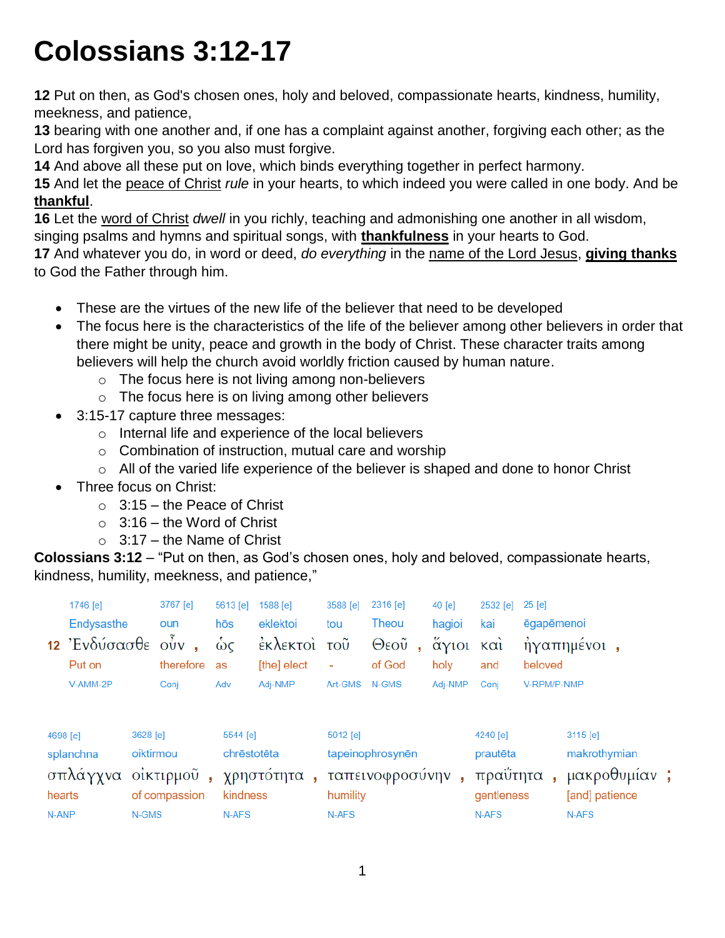# **Colossians 3:12-17**

**12** Put on then, as God's chosen ones, holy and beloved, compassionate hearts, kindness, humility, meekness, and patience,

**13** bearing with one another and, if one has a complaint against another, forgiving each other; as the Lord has forgiven you, so you also must forgive.

**14** And above all these put on love, which binds everything together in perfect harmony.

**15** And let the peace of Christ *rule* in your hearts, to which indeed you were called in one body. And be **thankful**.

**16** Let the word of Christ *dwell* in you richly, teaching and admonishing one another in all wisdom, singing psalms and hymns and spiritual songs, with **thankfulness** in your hearts to God.

**17** And whatever you do, in word or deed, *do everything* in the name of the Lord Jesus, **giving thanks** to God the Father through him.

- These are the virtues of the new life of the believer that need to be developed
- The focus here is the characteristics of the life of the believer among other believers in order that there might be unity, peace and growth in the body of Christ. These character traits among believers will help the church avoid worldly friction caused by human nature.
	- o The focus here is not living among non-believers
	- o The focus here is on living among other believers
- 3:15-17 capture three messages:
	- o Internal life and experience of the local believers
	- o Combination of instruction, mutual care and worship
	- $\circ$  All of the varied life experience of the believer is shaped and done to honor Christ
- Three focus on Christ:
	- $\circ$  3:15 the Peace of Christ
	- $\circ$  3:16 the Word of Christ
	- $\circ$  3:17 the Name of Christ

**Colossians 3:12** – "Put on then, as God's chosen ones, holy and beloved, compassionate hearts, kindness, humility, meekness, and patience,"

|                                 | 1746 [e]<br>Endysasthe<br>12 Ένδύσασθε ούν, |                                                               | 3767 [e]<br>oun   |       | 5613 [e]<br>hōs<br>ώς               | 1588 [e]<br>eklektoi<br>έκλεκτοί τοῦ | 3588 [e]<br>tou        | 2316 [e]<br>Theou<br>Θεοῦ           |  | 40 [e]<br>hagioi<br>άγιοι και | 2532 [e]<br>kai | $25$ [e]<br>ēgapēmenoi  | ήγαπημένοι,                                |  |  |
|---------------------------------|---------------------------------------------|---------------------------------------------------------------|-------------------|-------|-------------------------------------|--------------------------------------|------------------------|-------------------------------------|--|-------------------------------|-----------------|-------------------------|--------------------------------------------|--|--|
|                                 | Put on<br>V-AMM-2P                          |                                                               | therefore<br>Conj |       | as<br>Adv                           | [the] elect<br>Adj-NMP               | $\sim$<br>Art-GMS      | of God<br>N-GMS                     |  | holy<br>Adj-NMP               | and<br>Conj     | beloved<br>V-RPM/P-NMP  |                                            |  |  |
| 4698 [e]<br>splanchna<br>hearts |                                             | 3628 [e]<br>oiktirmou<br>σπλάγγνα οίκτιρμοῦ,<br>of compassion |                   |       | 5544 [e]<br>chrēstotēta<br>kindness | χρηστότητα,                          | $5012$ [e]<br>humility | tapeinophrosynēn<br>ταπεινοφροσύνην |  |                               |                 | πραΰτητα                | $3115$ [e]<br>makrothymian<br>μακροθυμίαν; |  |  |
| N-ANP                           |                                             | N-GMS                                                         |                   | N-AFS |                                     | N-AFS                                |                        |                                     |  | gentleness<br>N-AFS           |                 | [and] patience<br>N-AFS |                                            |  |  |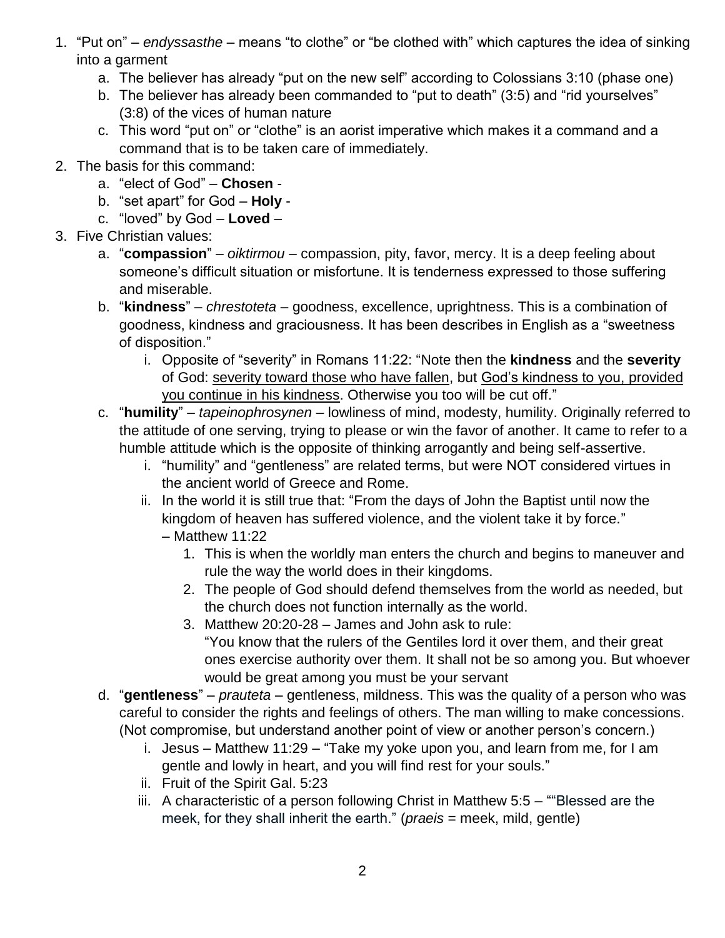- 1. "Put on" *endyssasthe* means "to clothe" or "be clothed with" which captures the idea of sinking into a garment
	- a. The believer has already "put on the new self" according to Colossians 3:10 (phase one)
	- b. The believer has already been commanded to "put to death" (3:5) and "rid yourselves" (3:8) of the vices of human nature
	- c. This word "put on" or "clothe" is an aorist imperative which makes it a command and a command that is to be taken care of immediately.
- 2. The basis for this command:
	- a. "elect of God" **Chosen** -
	- b. "set apart" for God **Holy** -
	- c. "loved" by God **Loved** –
- 3. Five Christian values:
	- a. "**compassion**" *oiktirmou* compassion, pity, favor, mercy. It is a deep feeling about someone's difficult situation or misfortune. It is tenderness expressed to those suffering and miserable.
	- b. "**kindness**" *chrestoteta* goodness, excellence, uprightness. This is a combination of goodness, kindness and graciousness. It has been describes in English as a "sweetness of disposition."
		- i. Opposite of "severity" in Romans 11:22: "Note then the **kindness** and the **severity** of God: severity toward those who have fallen, but God's kindness to you, provided you continue in his kindness. Otherwise you too will be cut off."
	- c. "**humility**" *tapeinophrosynen* lowliness of mind, modesty, humility. Originally referred to the attitude of one serving, trying to please or win the favor of another. It came to refer to a humble attitude which is the opposite of thinking arrogantly and being self-assertive.
		- i. "humility" and "gentleness" are related terms, but were NOT considered virtues in the ancient world of Greece and Rome.
		- ii. In the world it is still true that: "From the days of John the Baptist until now the kingdom of heaven has suffered violence, and the violent take it by force." – Matthew 11:22
			- 1. This is when the worldly man enters the church and begins to maneuver and rule the way the world does in their kingdoms.
			- 2. The people of God should defend themselves from the world as needed, but the church does not function internally as the world.
			- 3. Matthew 20:20-28 James and John ask to rule: "You know that the rulers of the Gentiles lord it over them, and their great ones exercise authority over them. It shall not be so among you. But whoever would be great among you must be your servant
	- d. "**gentleness**" *prauteta* gentleness, mildness. This was the quality of a person who was careful to consider the rights and feelings of others. The man willing to make concessions. (Not compromise, but understand another point of view or another person's concern.)
		- i. Jesus Matthew 11:29 "Take my yoke upon you, and learn from me, for I am gentle and lowly in heart, and you will find rest for your souls."
		- ii. Fruit of the Spirit Gal. 5:23
		- iii. A characteristic of a person following Christ in Matthew 5:5 ""Blessed are the meek, for they shall inherit the earth." (*praeis* = meek, mild, gentle)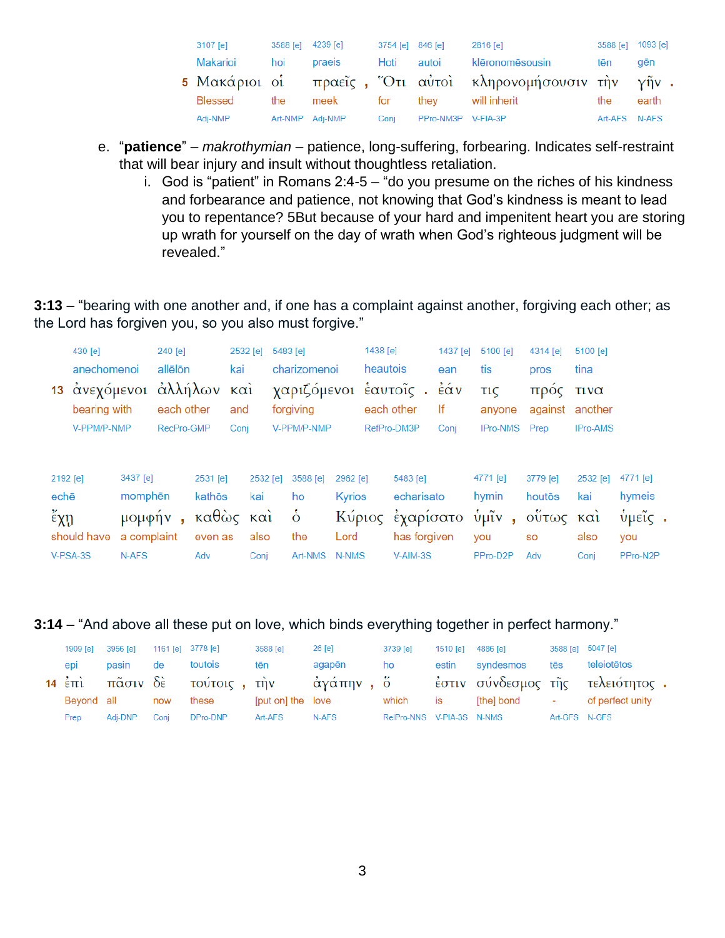| 3107 [e] | 3588 [e] 4239 [e] |        | 3754 [e] 846 [e] |                    | 2816 [e]                                                   | 3588 [e] 1093 [e] |       |
|----------|-------------------|--------|------------------|--------------------|------------------------------------------------------------|-------------------|-------|
| Makarioi | hoi               | praeis | Hoti             | autoi              | klēronomēsousin                                            | tēn               | gēn   |
|          |                   |        |                  |                    | 5 Μακάριοι οἱ πραεῖς , Ότι αὐτοὶ κληρονομήσουσιν τὴν γῆν . |                   |       |
| Blessed  | the               | meek   | for              | they               | will inherit                                               | the               | earth |
| Adj-NMP  | Art-NMP Adj-NMP   |        | Coni             | PPro-NM3P V-FIA-3P |                                                            | Art-AFS N-AFS     |       |

- e. "**patience**" *makrothymian* patience, long-suffering, forbearing. Indicates self-restraint that will bear injury and insult without thoughtless retaliation.
	- i. God is "patient" in Romans  $2:4-5 "do$  you presume on the riches of his kindness and forbearance and patience, not knowing that God's kindness is meant to lead you to repentance? 5But because of your hard and impenitent heart you are storing up wrath for yourself on the day of wrath when God's righteous judgment will be revealed."

**3:13** – "bearing with one another and, if one has a complaint against another, forgiving each other; as the Lord has forgiven you, so you also must forgive."

| 13                                    | 430 [e]<br>anechomenoi<br>άνεχόμενοι<br>bearing with |                                                       | 240 [e]<br>allēlōn<br>άλλήλων και<br>each other |                                               | 2532 [e]<br>kai<br>and |                                                      | 5483 [e]<br>charizomenoi<br>χαριζόμενοι έαυτοΐς.<br>forgiving |                                            | 1438 [e]<br>heautois<br>each other |                                                                        | 1437 [e]<br>ean<br>έάν<br>lf | 5100 [e]<br>tis<br><b>TIC</b><br>anyone            | 4314 [e]<br>pros<br>προς<br>against                 | 5100 [e]<br>tina<br>τινα<br>another |                                                         |
|---------------------------------------|------------------------------------------------------|-------------------------------------------------------|-------------------------------------------------|-----------------------------------------------|------------------------|------------------------------------------------------|---------------------------------------------------------------|--------------------------------------------|------------------------------------|------------------------------------------------------------------------|------------------------------|----------------------------------------------------|-----------------------------------------------------|-------------------------------------|---------------------------------------------------------|
|                                       | V-PPM/P-NMP                                          |                                                       | RecPro-GMP                                      |                                               | Conj                   |                                                      | V-PPM/P-NMP                                                   |                                            |                                    | RefPro-DM3P                                                            | Conj                         | <b>IPro-NMS</b>                                    | Prep                                                | IPro-AMS                            |                                                         |
| 2192 [e]<br>echē<br>$\epsilon \chi$ ŋ | should have<br>V-PSA-3S                              | 3437 [e]<br>momphen<br>μομφήν<br>a complaint<br>N-AFS | ٠                                               | 2531 [e]<br>kathōs<br>καθὼς<br>even as<br>Adv |                        | 2532 [e]<br>kai<br>$\kappa$ $\alpha$<br>also<br>Conj | 3588 [e]<br>ho<br>$\dot{\delta}$<br>the<br>Art-NMS            | 2962 [e]<br><b>Kyrios</b><br>Lord<br>N-NMS |                                    | 5483 [e]<br>echarisato<br>Κύριος έχαρίσατο<br>has forgiven<br>V-AIM-3S |                              | 4771 [e]<br>hymin<br>ύμῖν<br>×.<br>you<br>PPro-D2P | 3779 [e]<br>houtos<br>ούτως και<br><b>SO</b><br>Adv | 2532 [e]<br>kai<br>also<br>Conj     | 4771 [e]<br>hymeis<br>$\theta$ μεῖς.<br>you<br>PPro-N2P |

**3:14** – "And above all these put on love, which binds everything together in perfect harmony."

| 1909 [e] | 3956 [e]              |       | 1161 [e] 3778 [e] | 3588 [e]          | $26$ [e]                               | 3739 [e]                  |       | 1510 [e] 4886 [e] |               | 3588 [e] 5047 [e]                |
|----------|-----------------------|-------|-------------------|-------------------|----------------------------------------|---------------------------|-------|-------------------|---------------|----------------------------------|
| epi      | pasin                 | de de | toutois           | tēn               | agapēn                                 | ho                        | estin | syndesmos         | tēs           | teleiotētos                      |
|          |                       |       |                   |                   | 14 έπι πάσιν δε τούτοις, την άγάπην, ό |                           |       |                   |               | έστιν σύνδεσμος της τελειότητος. |
|          | Bevond all <b>now</b> |       | these             | [put on] the love |                                        | which                     | is    | [the] bond        | $\sim$        | of perfect unity                 |
| Prep     | Adi-DNP               | Coni  | DPro-DNP          | Art-AFS           | N-AFS                                  | RelPro-NNS V-PIA-3S N-NMS |       |                   | Art-GFS N-GFS |                                  |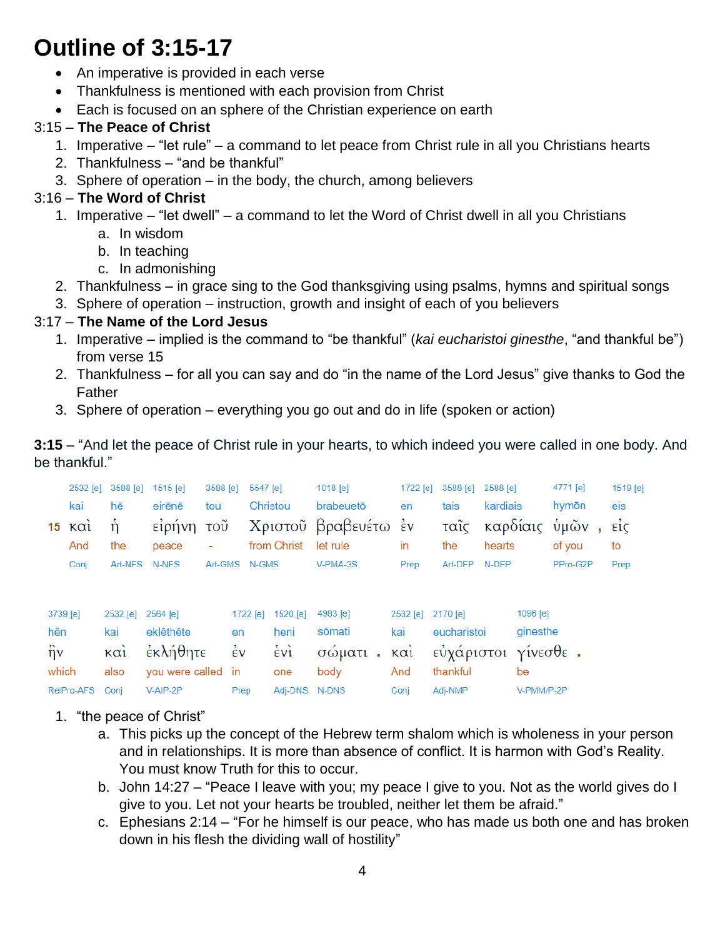## **Outline of 3:15-17**

- An imperative is provided in each verse
- Thankfulness is mentioned with each provision from Christ
- Each is focused on an sphere of the Christian experience on earth

### 3:15 – **The Peace of Christ**

- 1. Imperative "let rule" a command to let peace from Christ rule in all you Christians hearts
- 2. Thankfulness "and be thankful"
- 3. Sphere of operation in the body, the church, among believers

### 3:16 – **The Word of Christ**

- 1. Imperative "let dwell" a command to let the Word of Christ dwell in all you Christians
	- a. In wisdom
	- b. In teaching
	- c. In admonishing
- 2. Thankfulness in grace sing to the God thanksgiving using psalms, hymns and spiritual songs
- 3. Sphere of operation instruction, growth and insight of each of you believers

#### 3:17 – **The Name of the Lord Jesus**

- 1. Imperative implied is the command to "be thankful" (*kai eucharistoi ginesthe*, "and thankful be") from verse 15
- 2. Thankfulness for all you can say and do "in the name of the Lord Jesus" give thanks to God the Father
- 3. Sphere of operation everything you go out and do in life (spoken or action)

**3:15** – "And let the peace of Christ rule in your hearts, to which indeed you were called in one body. And be thankful."

|                 | 2532 [e]          | 3588 [e]         | 1515 [e]           | 3588 [e] | 5547 [e]           |                     | 1018 [e]             | 1722 [e]          | 3588 [e]            | 2588 [e] |            | 4771 [e] | 1519 [e]            |
|-----------------|-------------------|------------------|--------------------|----------|--------------------|---------------------|----------------------|-------------------|---------------------|----------|------------|----------|---------------------|
|                 | kai               | hē               | eirēnē             | tou      |                    | Christou            | brabeuetō            | en                | tais                | kardiais |            | hymōn    | eis                 |
| 15 <sub>1</sub> | $\kappa \alpha i$ | ń                | είρήνη             | τοῦ      |                    |                     | Χριστοῦ βραβευέτω έν |                   | ταῖς                | καρδίαις |            | ὑμῶν     | $\vec{\epsilon}$ ic |
|                 | And               | the              | peace              | ÷        |                    | from Christ         | let rule             | in                | the                 | hearts   |            | of you   | to                  |
|                 | Conj              | Art-NFS          | N-NFS              |          | Art-GMS N-GMS      |                     | V-PMA-3S             | Prep              | Art-DFP N-DFP       |          |            | PPro-G2P | Prep                |
|                 |                   |                  |                    |          |                    |                     |                      |                   |                     |          |            |          |                     |
| 3739 [e]        |                   | 2532 [e]         | 2564 [e]           |          | 1722 [e]           | 1520 [e]            | 4983 [e]             | 2532 [e] 2170 [e] |                     |          | 1096 [e]   |          |                     |
| hēn             |                   | kai              | eklēthēte          |          | en                 | heni                | sōmati               | kai               | eucharistoi         |          | ginesthe   |          |                     |
| $\hat{\eta}$ v  |                   | καὶ              | έκλήθητε           |          | $\dot{\epsilon}$ v | $\dot{\epsilon}$ vi | σώματι<br>У.         | καὶ               | εὐχάριστοι γίνεσθε. |          |            |          |                     |
| which           |                   | also             | you were called in |          |                    | one                 | body                 | And               | thankful            |          | be         |          |                     |
| RelPro-AFS      |                   | V-AIP-2P<br>Conj |                    |          | Prep               | Adj-DNS N-DNS       |                      | Conj              | Adj-NMP             |          | V-PMM/P-2P |          |                     |

- 1. "the peace of Christ"
	- a. This picks up the concept of the Hebrew term shalom which is wholeness in your person and in relationships. It is more than absence of conflict. It is harmon with God's Reality. You must know Truth for this to occur.
	- b. John 14:27 "Peace I leave with you; my peace I give to you. Not as the world gives do I give to you. Let not your hearts be troubled, neither let them be afraid."
	- c. Ephesians 2:14 "For he himself is our peace, who has made us both one and has broken down in his flesh the dividing wall of hostility"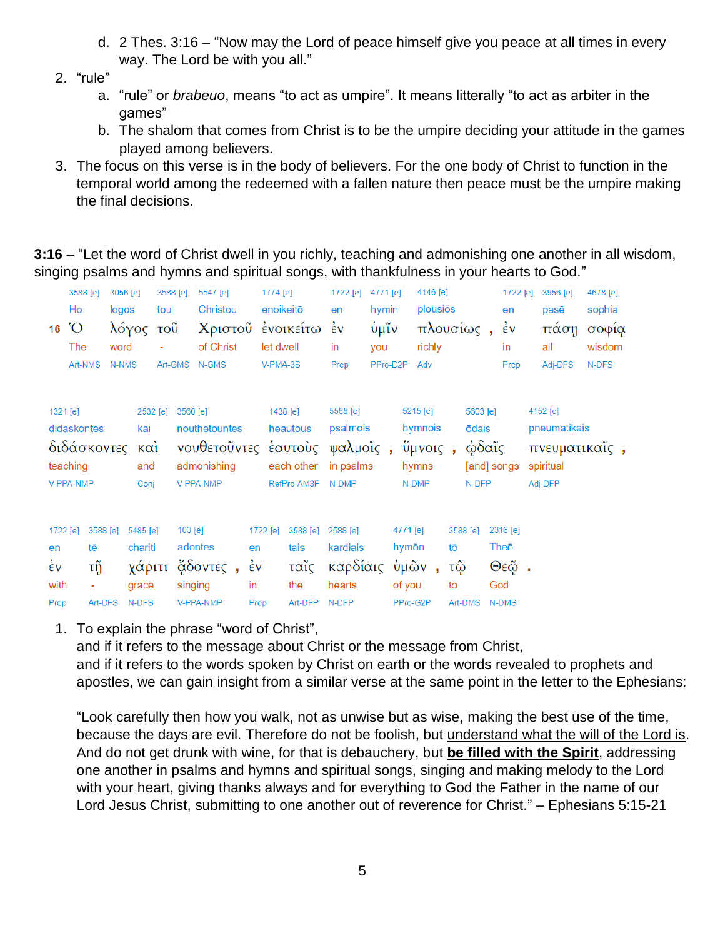- d. 2 Thes. 3:16 "Now may the Lord of peace himself give you peace at all times in every way. The Lord be with you all."
- 2. "rule"
	- a. "rule" or *brabeuo*, means "to act as umpire". It means litterally "to act as arbiter in the games"
	- b. The shalom that comes from Christ is to be the umpire deciding your attitude in the games played among believers.
- 3. The focus on this verse is in the body of believers. For the one body of Christ to function in the temporal world among the redeemed with a fallen nature then peace must be the umpire making the final decisions.

**3:16** – "Let the word of Christ dwell in you richly, teaching and admonishing one another in all wisdom, singing psalms and hymns and spiritual songs, with thankfulness in your hearts to God."

| 16                                                                    | 3588 [e]<br>Ho<br>$\rm O'$<br>The<br>Art-NMS | 3056 [e]<br>logos<br>word<br>N-NMS | λόγος τοῦ                              | 3588 [e]<br>tou<br>Art-GMS N-GMS |                                                       | 5547 [e]<br>Christou<br>of Christ | 1774 [e]<br>enoikeitō<br>Χριστού ένοικείτω<br>let dwell<br>V-PMA-3S |                                                                                    |                         | 1722 [e]<br>en<br>$\frac{1}{2}v$<br>in<br>Prep       | 4771 [e]<br>hymin<br>ΰμῖν<br>you<br>PPro-D2P |                             | 4146 [e]<br>plousiōs<br>πλουσίως,<br>richly<br>Adv          |                |                                     | 1722 [e]<br>en<br>$\dot{\epsilon}$ v<br>in<br>Prep | 3956 [e]<br>pasē<br>πάση<br>all<br>Adj-DFS                        | 4678 [e]<br>sophia<br>σοφία<br>wisdom<br>N-DFS |  |
|-----------------------------------------------------------------------|----------------------------------------------|------------------------------------|----------------------------------------|----------------------------------|-------------------------------------------------------|-----------------------------------|---------------------------------------------------------------------|------------------------------------------------------------------------------------|-------------------------|------------------------------------------------------|----------------------------------------------|-----------------------------|-------------------------------------------------------------|----------------|-------------------------------------|----------------------------------------------------|-------------------------------------------------------------------|------------------------------------------------|--|
| 1321 [e]<br>didaskontes<br>διδάσκοντες και<br>teaching<br>V-PPA-NMP   |                                              |                                    | 2532 [e]<br>kai<br>and<br>Conj         |                                  | 3560 [e]<br>nouthetountes<br>admonishing<br>V-PPA-NMP |                                   |                                                                     | 1438 [e]<br>heautous<br>νουθετοῦντες ἑαυτοὺς ψαλμοῖς,<br>each other<br>RefPro-AM3P |                         | 5568 [e]<br>psalmois<br>in psalms<br>N-DMP           |                                              |                             | 5215 [e]<br>hymnois<br>$\tilde{v}$ μνοις,<br>hymns<br>N-DMP |                | 5603 [e]<br>ōdais<br>ώδαῖς<br>N-DFP | [and] songs                                        | 4152 [e]<br>pneumatikais<br>πνευματικαΐς,<br>spiritual<br>Adj-DFP |                                                |  |
| 3588 [e]<br>1722 [e]<br>tē<br>en<br>$\frac{1}{2}v$<br>τỹ<br>with<br>۰ |                                              |                                    | 5485 [e]<br>chariti<br>χάριτι<br>grace |                                  | 103 [e]<br>adontes<br>singing                         | $\alpha$ δοντες,                  |                                                                     | 1722 [e]<br>en<br>$\frac{1}{2}v$<br>in                                             | 3588 [e]<br>tais<br>the | 2588 [e]<br>kardiais<br>ταῖς καρδίαις ὑμῶν<br>hearts |                                              | 4771 [e]<br>hymōn<br>of you |                                                             | tō<br>τῷ<br>to | 3588 [e]                            | 2316 [e]<br>Theō<br>$Θ$ εῷ.<br>God                 |                                                                   |                                                |  |
| Art-DFS<br>Prep                                                       |                                              |                                    | N-DFS                                  |                                  | V-PPA-NMP                                             |                                   |                                                                     | Prep                                                                               | Art-DFP                 | N-DFP                                                |                                              | PPro-G2P                    |                                                             |                | Art-DMS                             | N-DMS                                              |                                                                   |                                                |  |

1. To explain the phrase "word of Christ",

and if it refers to the message about Christ or the message from Christ, and if it refers to the words spoken by Christ on earth or the words revealed to prophets and apostles, we can gain insight from a similar verse at the same point in the letter to the Ephesians:

"Look carefully then how you walk, not as unwise but as wise, making the best use of the time, because the days are evil. Therefore do not be foolish, but understand what the will of the Lord is. And do not get drunk with wine, for that is debauchery, but **be filled with the Spirit**, addressing one another in psalms and hymns and spiritual songs, singing and making melody to the Lord with your heart, giving thanks always and for everything to God the Father in the name of our Lord Jesus Christ, submitting to one another out of reverence for Christ." – Ephesians 5:15-21